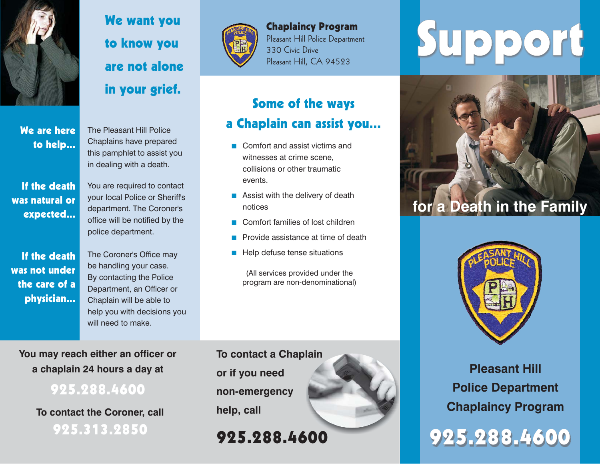

We are hereto help...

If the deathwas natural orexpected...

If the deathwas not underthe care of aphysician...

We want you to know you are not alonein your grief.

The Pleasant Hill PoliceChaplains have prepared this pamphlet to assist you in dealing with <sup>a</sup> death.

You are required to contact your local Police or Sheriff's department. The Coroner's office will be notified by the police department.

The Coroner's Office may be handling your case. By contacting the Police Department, an Officer or Chaplain will be able to help you with decisions you will need to make.

**You may reach either an officer or <sup>a</sup> chaplain 24 hours <sup>a</sup> day at**

925.288.4600

**To contact the Coroner, call** 925.313.2850



Chaplaincy Program Pleasant Hill Police Department 330 Civic Drive

# Some of the ways <sup>a</sup> Chaplain can assist you...

- Comfort and assist victims and witnesses at crime scene, collisions or other traumaticevents.
- **Assist with the delivery of death** notices
- Comfort families of lost children
- **Provide assistance at time of death**
- $\blacksquare$  Help defuse tense situations

(All services provided under the program are non-denominational)

**To contact <sup>a</sup> Chaplain or if you need non-emergency help, call**

925.288.4600

# Chaplaincy Program<br>Pleasant Hill Police Department<br>Pleasant Hill, CA 94523





**Pleasant Hill Police Department Chaplaincy Program**